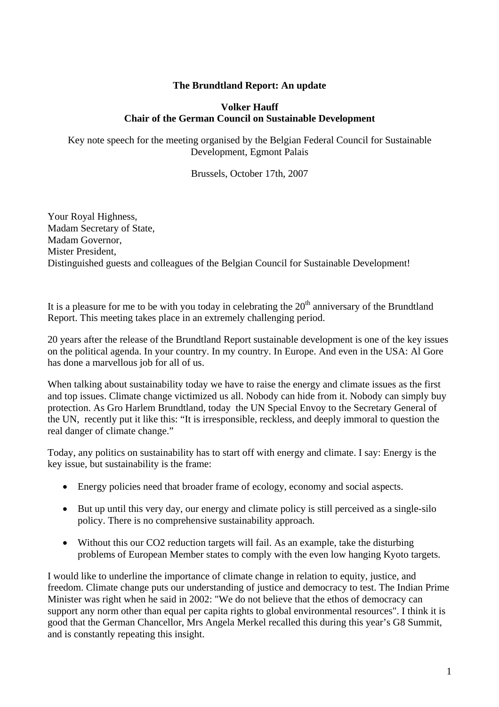### **The Brundtland Report: An update**

#### **Volker Hauff Chair of the German Council on Sustainable Development**

Key note speech for the meeting organised by the Belgian Federal Council for Sustainable Development, Egmont Palais

Brussels, October 17th, 2007

Your Royal Highness, Madam Secretary of State, Madam Governor, Mister President, Distinguished guests and colleagues of the Belgian Council for Sustainable Development!

It is a pleasure for me to be with you today in celebrating the  $20<sup>th</sup>$  anniversary of the Brundtland Report. This meeting takes place in an extremely challenging period.

20 years after the release of the Brundtland Report sustainable development is one of the key issues on the political agenda. In your country. In my country. In Europe. And even in the USA: Al Gore has done a marvellous job for all of us.

When talking about sustainability today we have to raise the energy and climate issues as the first and top issues. Climate change victimized us all. Nobody can hide from it. Nobody can simply buy protection. As Gro Harlem Brundtland, today the UN Special Envoy to the Secretary General of the UN, recently put it like this: "It is irresponsible, reckless, and deeply immoral to question the real danger of climate change."

Today, any politics on sustainability has to start off with energy and climate. I say: Energy is the key issue, but sustainability is the frame:

- Energy policies need that broader frame of ecology, economy and social aspects.
- But up until this very day, our energy and climate policy is still perceived as a single-silo policy. There is no comprehensive sustainability approach.
- Without this our CO2 reduction targets will fail. As an example, take the disturbing problems of European Member states to comply with the even low hanging Kyoto targets.

I would like to underline the importance of climate change in relation to equity, justice, and freedom. Climate change puts our understanding of justice and democracy to test. The Indian Prime Minister was right when he said in 2002: "We do not believe that the ethos of democracy can support any norm other than equal per capita rights to global environmental resources". I think it is good that the German Chancellor, Mrs Angela Merkel recalled this during this year's G8 Summit, and is constantly repeating this insight.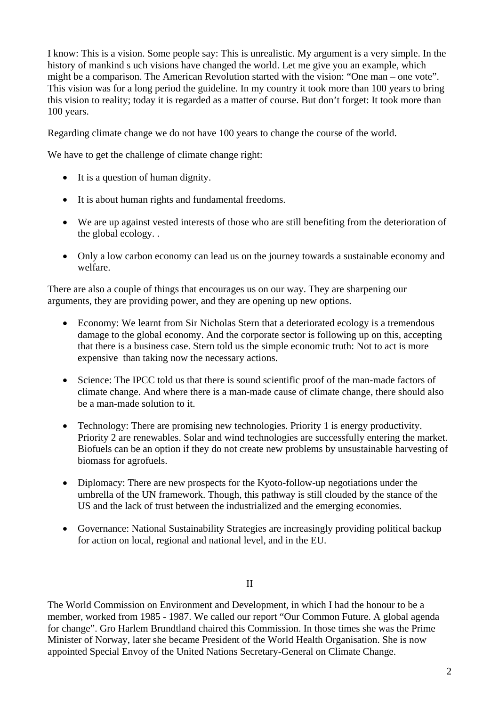I know: This is a vision. Some people say: This is unrealistic. My argument is a very simple. In the history of mankind s uch visions have changed the world. Let me give you an example, which might be a comparison. The American Revolution started with the vision: "One man – one vote". This vision was for a long period the guideline. In my country it took more than 100 years to bring this vision to reality; today it is regarded as a matter of course. But don't forget: It took more than 100 years.

Regarding climate change we do not have 100 years to change the course of the world.

We have to get the challenge of climate change right:

- It is a question of human dignity.
- It is about human rights and fundamental freedoms.
- We are up against vested interests of those who are still benefiting from the deterioration of the global ecology. .
- Only a low carbon economy can lead us on the journey towards a sustainable economy and welfare.

There are also a couple of things that encourages us on our way. They are sharpening our arguments, they are providing power, and they are opening up new options.

- Economy: We learnt from Sir Nicholas Stern that a deteriorated ecology is a tremendous damage to the global economy. And the corporate sector is following up on this, accepting that there is a business case. Stern told us the simple economic truth: Not to act is more expensive than taking now the necessary actions.
- Science: The IPCC told us that there is sound scientific proof of the man-made factors of climate change. And where there is a man-made cause of climate change, there should also be a man-made solution to it.
- Technology: There are promising new technologies. Priority 1 is energy productivity. Priority 2 are renewables. Solar and wind technologies are successfully entering the market. Biofuels can be an option if they do not create new problems by unsustainable harvesting of biomass for agrofuels.
- Diplomacy: There are new prospects for the Kyoto-follow-up negotiations under the umbrella of the UN framework. Though, this pathway is still clouded by the stance of the US and the lack of trust between the industrialized and the emerging economies.
- Governance: National Sustainability Strategies are increasingly providing political backup for action on local, regional and national level, and in the EU.

II

The World Commission on Environment and Development, in which I had the honour to be a member, worked from 1985 - 1987. We called our report "Our Common Future. A global agenda for change". Gro Harlem Brundtland chaired this Commission. In those times she was the Prime Minister of Norway, later she became President of the World Health Organisation. She is now appointed Special Envoy of the United Nations Secretary-General on Climate Change.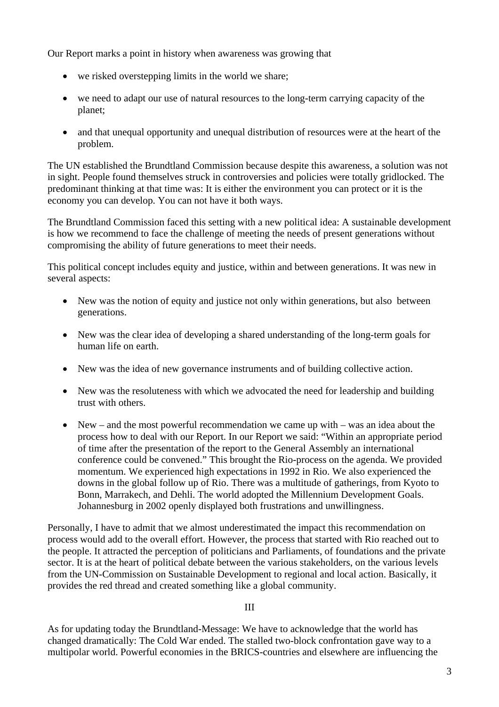Our Report marks a point in history when awareness was growing that

- we risked overstepping limits in the world we share;
- we need to adapt our use of natural resources to the long-term carrying capacity of the planet;
- and that unequal opportunity and unequal distribution of resources were at the heart of the problem.

The UN established the Brundtland Commission because despite this awareness, a solution was not in sight. People found themselves struck in controversies and policies were totally gridlocked. The predominant thinking at that time was: It is either the environment you can protect or it is the economy you can develop. You can not have it both ways.

The Brundtland Commission faced this setting with a new political idea: A sustainable development is how we recommend to face the challenge of meeting the needs of present generations without compromising the ability of future generations to meet their needs.

This political concept includes equity and justice, within and between generations. It was new in several aspects:

- New was the notion of equity and justice not only within generations, but also between generations.
- New was the clear idea of developing a shared understanding of the long-term goals for human life on earth.
- New was the idea of new governance instruments and of building collective action.
- New was the resoluteness with which we advocated the need for leadership and building trust with others.
- New and the most powerful recommendation we came up with was an idea about the process how to deal with our Report. In our Report we said: "Within an appropriate period of time after the presentation of the report to the General Assembly an international conference could be convened." This brought the Rio-process on the agenda. We provided momentum. We experienced high expectations in 1992 in Rio. We also experienced the downs in the global follow up of Rio. There was a multitude of gatherings, from Kyoto to Bonn, Marrakech, and Dehli. The world adopted the Millennium Development Goals. Johannesburg in 2002 openly displayed both frustrations and unwillingness.

Personally, I have to admit that we almost underestimated the impact this recommendation on process would add to the overall effort. However, the process that started with Rio reached out to the people. It attracted the perception of politicians and Parliaments, of foundations and the private sector. It is at the heart of political debate between the various stakeholders, on the various levels from the UN-Commission on Sustainable Development to regional and local action. Basically, it provides the red thread and created something like a global community.

### III

As for updating today the Brundtland-Message: We have to acknowledge that the world has changed dramatically: The Cold War ended. The stalled two-block confrontation gave way to a multipolar world. Powerful economies in the BRICS-countries and elsewhere are influencing the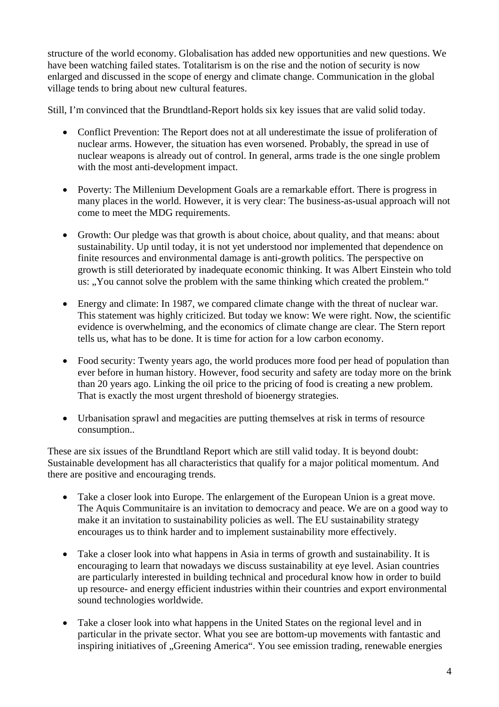structure of the world economy. Globalisation has added new opportunities and new questions. We have been watching failed states. Totalitarism is on the rise and the notion of security is now enlarged and discussed in the scope of energy and climate change. Communication in the global village tends to bring about new cultural features.

Still, I'm convinced that the Brundtland-Report holds six key issues that are valid solid today.

- Conflict Prevention: The Report does not at all underestimate the issue of proliferation of nuclear arms. However, the situation has even worsened. Probably, the spread in use of nuclear weapons is already out of control. In general, arms trade is the one single problem with the most anti-development impact.
- Poverty: The Millenium Development Goals are a remarkable effort. There is progress in many places in the world. However, it is very clear: The business-as-usual approach will not come to meet the MDG requirements.
- Growth: Our pledge was that growth is about choice, about quality, and that means: about sustainability. Up until today, it is not yet understood nor implemented that dependence on finite resources and environmental damage is anti-growth politics. The perspective on growth is still deteriorated by inadequate economic thinking. It was Albert Einstein who told us: ..You cannot solve the problem with the same thinking which created the problem."
- Energy and climate: In 1987, we compared climate change with the threat of nuclear war. This statement was highly criticized. But today we know: We were right. Now, the scientific evidence is overwhelming, and the economics of climate change are clear. The Stern report tells us, what has to be done. It is time for action for a low carbon economy.
- Food security: Twenty years ago, the world produces more food per head of population than ever before in human history. However, food security and safety are today more on the brink than 20 years ago. Linking the oil price to the pricing of food is creating a new problem. That is exactly the most urgent threshold of bioenergy strategies.
- Urbanisation sprawl and megacities are putting themselves at risk in terms of resource consumption..

These are six issues of the Brundtland Report which are still valid today. It is beyond doubt: Sustainable development has all characteristics that qualify for a major political momentum. And there are positive and encouraging trends.

- Take a closer look into Europe. The enlargement of the European Union is a great move. The Aquis Communitaire is an invitation to democracy and peace. We are on a good way to make it an invitation to sustainability policies as well. The EU sustainability strategy encourages us to think harder and to implement sustainability more effectively.
- Take a closer look into what happens in Asia in terms of growth and sustainability. It is encouraging to learn that nowadays we discuss sustainability at eye level. Asian countries are particularly interested in building technical and procedural know how in order to build up resource- and energy efficient industries within their countries and export environmental sound technologies worldwide.
- Take a closer look into what happens in the United States on the regional level and in particular in the private sector. What you see are bottom-up movements with fantastic and inspiring initiatives of "Greening America". You see emission trading, renewable energies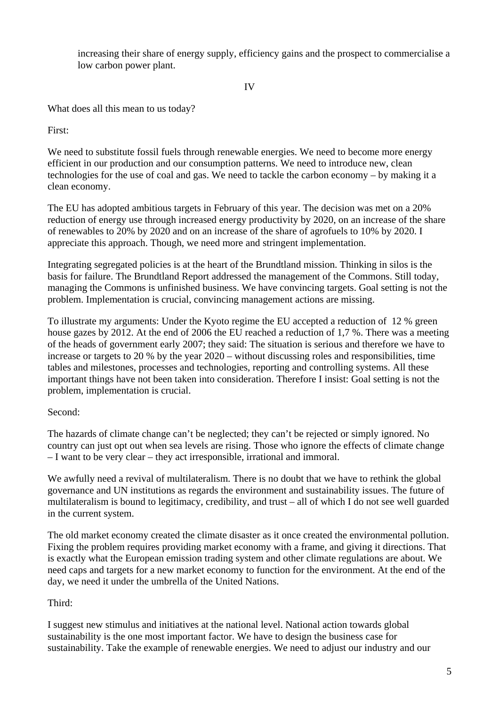increasing their share of energy supply, efficiency gains and the prospect to commercialise a low carbon power plant.

IV

What does all this mean to us today?

First:

We need to substitute fossil fuels through renewable energies. We need to become more energy efficient in our production and our consumption patterns. We need to introduce new, clean technologies for the use of coal and gas. We need to tackle the carbon economy – by making it a clean economy.

The EU has adopted ambitious targets in February of this year. The decision was met on a 20% reduction of energy use through increased energy productivity by 2020, on an increase of the share of renewables to 20% by 2020 and on an increase of the share of agrofuels to 10% by 2020. I appreciate this approach. Though, we need more and stringent implementation.

Integrating segregated policies is at the heart of the Brundtland mission. Thinking in silos is the basis for failure. The Brundtland Report addressed the management of the Commons. Still today, managing the Commons is unfinished business. We have convincing targets. Goal setting is not the problem. Implementation is crucial, convincing management actions are missing.

To illustrate my arguments: Under the Kyoto regime the EU accepted a reduction of 12 % green house gazes by 2012. At the end of 2006 the EU reached a reduction of 1,7 %. There was a meeting of the heads of government early 2007; they said: The situation is serious and therefore we have to increase or targets to 20 % by the year 2020 – without discussing roles and responsibilities, time tables and milestones, processes and technologies, reporting and controlling systems. All these important things have not been taken into consideration. Therefore I insist: Goal setting is not the problem, implementation is crucial.

# Second:

The hazards of climate change can't be neglected; they can't be rejected or simply ignored. No country can just opt out when sea levels are rising. Those who ignore the effects of climate change – I want to be very clear – they act irresponsible, irrational and immoral.

We awfully need a revival of multilateralism. There is no doubt that we have to rethink the global governance and UN institutions as regards the environment and sustainability issues. The future of multilateralism is bound to legitimacy, credibility, and trust – all of which I do not see well guarded in the current system.

The old market economy created the climate disaster as it once created the environmental pollution. Fixing the problem requires providing market economy with a frame, and giving it directions. That is exactly what the European emission trading system and other climate regulations are about. We need caps and targets for a new market economy to function for the environment. At the end of the day, we need it under the umbrella of the United Nations.

# Third:

I suggest new stimulus and initiatives at the national level. National action towards global sustainability is the one most important factor. We have to design the business case for sustainability. Take the example of renewable energies. We need to adjust our industry and our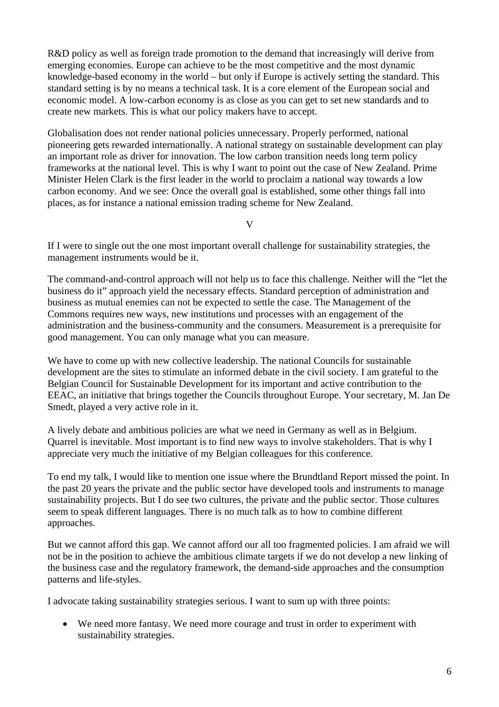R&D policy as well as foreign trade promotion to the demand that increasingly will derive from emerging economies. Europe can achieve to be the most competitive and the most dynamic knowledge-based economy in the world – but only if Europe is actively setting the standard. This standard setting is by no means a technical task. It is a core element of the European social and economic model. A low-carbon economy is as close as you can get to set new standards and to create new markets. This is what our policy makers have to accept.

Globalisation does not render national policies unnecessary. Properly performed, national pioneering gets rewarded internationally. A national strategy on sustainable development can play an important role as driver for innovation. The low carbon transition needs long term policy frameworks at the national level. This is why I want to point out the case of New Zealand. Prime Minister Helen Clark is the first leader in the world to proclaim a national way towards a low carbon economy. And we see: Once the overall goal is established, some other things fall into places, as for instance a national emission trading scheme for New Zealand.

V

If I were to single out the one most important overall challenge for sustainability strategies, the management instruments would be it.

The command-and-control approach will not help us to face this challenge. Neither will the "let the business do it" approach yield the necessary effects. Standard perception of administration and business as mutual enemies can not be expected to settle the case. The Management of the Commons requires new ways, new institutions und processes with an engagement of the administration and the business-community and the consumers. Measurement is a prerequisite for good management. You can only manage what you can measure.

We have to come up with new collective leadership. The national Councils for sustainable development are the sites to stimulate an informed debate in the civil society. I am grateful to the Belgian Council for Sustainable Development for its important and active contribution to the EEAC, an initiative that brings together the Councils throughout Europe. Your secretary, M. Jan De Smedt, played a very active role in it.

A lively debate and ambitious policies are what we need in Germany as well as in Belgium. Quarrel is inevitable. Most important is to find new ways to involve stakeholders. That is why I appreciate very much the initiative of my Belgian colleagues for this conference.

To end my talk, I would like to mention one issue where the Brundtland Report missed the point. In the past 20 years the private and the public sector have developed tools and instruments to manage sustainability projects. But I do see two cultures, the private and the public sector. Those cultures seem to speak different languages. There is no much talk as to how to combine different approaches.

But we cannot afford this gap. We cannot afford our all too fragmented policies. I am afraid we will not be in the position to achieve the ambitious climate targets if we do not develop a new linking of the business case and the regulatory framework, the demand-side approaches and the consumption patterns and life-styles.

I advocate taking sustainability strategies serious. I want to sum up with three points:

• We need more fantasy. We need more courage and trust in order to experiment with sustainability strategies.